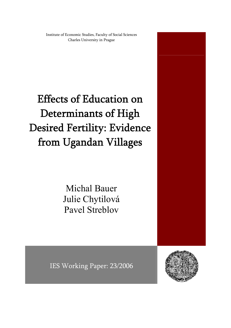Institute of Economic Studies, Faculty of Social Sciences Charles University in Prague

Effects of Education on Determinants of High Desired Fertility: Evidence from Ugandan Villages

> Michal Bauer Julie Chytilová Pavel Streblov



IES Working Paper: 23/2006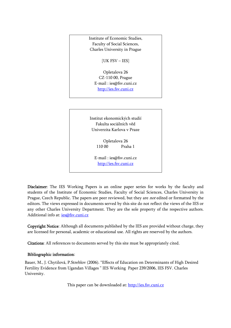Institute of Economic Studies, Faculty of Social Sciences, Charles University in Prague

[UK FSV – IES]

Opletalova 26 CZ-110 00, Prague E-mail : [ies@fsv.cuni.cz](mailto:IES@Mbox.FSV.CUNI.CZ) [http://ies.fsv.cuni.cz](http://ies.fsv.cuni.cz/)

Institut ekonomických studií Fakulta sociálních věd Univerzita Karlova v Praze

> Opletalova 26 110 00 Praha 1

E-mail : [ies@fsv.cuni.cz](mailto:IES@Mbox.FSV.CUNI.CZ) [http://ies.fsv.cuni.cz](http://ies.fsv.cuni.cz/)

Disclaimer: The IES Working Papers is an online paper series for works by the faculty and students of the Institute of Economic Studies, Faculty of Social Sciences, Charles University in Prague, Czech Republic. The papers are peer reviewed, but they are *not* edited or formatted by the editors. The views expressed in documents served by this site do not reflect the views of the IES or any other Charles University Department. They are the sole property of the respective authors. Additional info at: [ies@fsv.cuni.cz](mailto:ies@fsv.cuni.cz)

Copyright Notice: Although all documents published by the IES are provided without charge, they are licensed for personal, academic or educational use. All rights are reserved by the authors.

Citations: All references to documents served by this site must be appropriately cited.

### Bibliographic information:

Bauer, M., J. Chytilová, P.Streblov (2006). "Effects of Education on Determinants of High Desired Fertility Evidence from Ugandan Villages " IES Working Paper 239/2006, IES FSV. Charles University.

This paper can be downloaded at: [http://ies.fsv.cuni.cz](http://ies.fsv.cuni.cz/)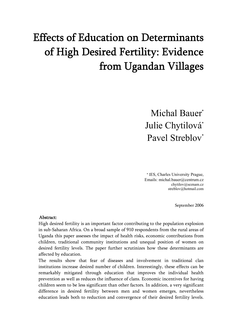# Effects of Education on Determinants of High Desired Fertility: Evidence from Ugandan Villages

Michal Bauer<sup>\*</sup> Julie Chytilová\* Pavel Streblov<sup>\*</sup>

\* IES, Charles University Prague, Emails: michal.bauer@centrum.cz chytilov@seznam.cz streblov@hotmail.com

September 2006

#### Abstract:

High desired fertility is an important factor contributing to the population explosion in sub-Saharan Africa. On a broad sample of 910 respondents from the rural areas of Uganda this paper assesses the impact of health risks, economic contributions from children, traditional community institutions and unequal position of women on desired fertility levels. The paper further scrutinizes how these determinants are affected by education.

The results show that fear of diseases and involvement in traditional clan institutions increase desired number of children. Interestingly, these effects can be remarkably mitigated through education that improves the individual health prevention as well as reduces the influence of clans. Economic incentives for having children seem to be less significant than other factors. In addition, a very significant difference in desired fertility between men and women emerges, nevertheless education leads both to reduction and convergence of their desired fertility levels.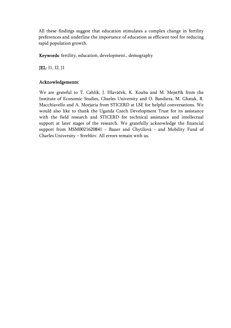All these findings suggest that education stimulates a complex change in fertility preferences and underline the importance of education as efficient tool for reducing rapid population growth.

Keywords: fertility, education, development., demography

JEL: I1, I2, J1

## Acknowledgements:

We are grateful to T. Cahlík, J. Hlaváček, K. Kouba and M. Mejstřík from the Institute of Economic Studies, Charles University and O. Bandiera, M. Ghatak, R. Macchiavello and A. Morjaria from STICERD at LSE for helpful conversations. We would also like to thank the Uganda Czech Development Trust for its assistance with the field research and STICERD for technical assistance and intellectual support at later stages of the research. We gratefully acknowledge the financial support from MSM0021620841 - Bauer and Chytilová - and Mobility Fund of Charles University – Streblov. All errors remain with us.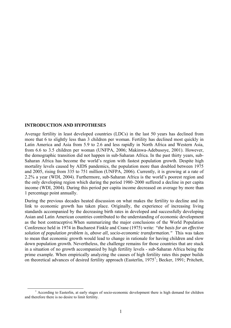#### **INTRODUCTION AND HYPOTHESES**

Average fertility in least developed countries (LDCs) in the last 50 years has declined from more that 6 to slightly less than 3 children per woman. Fertility has declined most quickly in Latin America and Asia from 5.9 to 2.6 and less rapidly in North Africa and Western Asia, from 6.6 to 3.5 children per woman (UNFPA, 2006; Makinwa-Adebusoye, 2001). However, the demographic transition did not happen in sub-Saharan Africa. In the past thirty years, sub-Saharan Africa has become the world's region with fastest population growth. Despite high mortality levels caused by AIDS pandemics, the population more than doubled between 1975 and 2005, rising from 335 to 751 million (UNFPA, 2006). Currently, it is growing at a rate of 2.2% a year (WDI, 2004). Furthermore, sub-Saharan Africa is the world's poorest region and the only developing region which during the period 1980–2000 suffered a decline in per capita income (WDI, 2004). During this period per capita income decreased on average by more than 1 percentage point annually.

During the previous decades heated discussion on what makes the fertility to decline and its link to economic growth has taken place. Originally, the experience of increasing living standards accompanied by the decreasing birth rates in developed and successfully developing Asian and Latin American countries contributed to the understanding of economic development as the best contraceptive.When summarizing the major conclusions of the World Population Conference held in 1974 in Bucharest Finkle and Crane (1975) write: *"the basis for an effective solution of population problem is, above all, socio-economic transformation."* This was taken to mean that economic growth would lead to change in rationale for having children and slow down population growth. Nevertheless, the challenge remains for those countries that are stuck in a situation of no growth accompanied by high fertility levels - sub-Saharan Africa being the prime example. When empirically analyzing the causes of high fertility rates this paper builds on theoretical advances of desired fertility approach (Easterlin, [1](#page-4-0)975<sup>1</sup>; Becker, 1991; Pritchett,

<span id="page-4-0"></span> $\frac{1}{1}$  $^1$  According to Easterlin, at early stages of socio-economic development there is high demand for children and therefore there is no desire to limit fertility.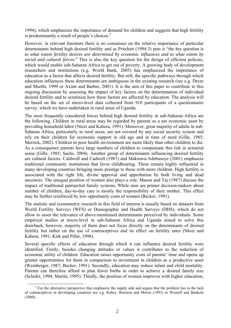1994), which emphasizes the importance of demand for children and suggests that high fertility is predominantly a result of people's choices. $<sup>2</sup>$  $<sup>2</sup>$  $<sup>2</sup>$ </sup>

However, in relevant literature there is no consensus on the relative importance of particular determinants behind high desired fertility and as Pritchett (1994:3) puts it "*the key question is to what extent fertility desires are determined by economic influences and to what extent by social and cultural forces*." This is also the key question for the design of efficient policies, which would enable sub-Saharan Africa to get out of poverty. A growing body of development researchers and institutions (e.g. World Bank, 2005) has emphasized the importance of education as a factor that affects desired fertility. But still, the specific pathways through which education influences these determinants are ambiguous in the existing research (see e.g. Dreze and Murthi, 1999 or Axinn and Barber, 2001). It is the aim of this paper to contribute to this ongoing discussion by assessing the impact of key factors on the determination of individual desired fertility and to scrutinize how these factors are affected by education. The analysis will be based on the set of micro-level data collected from 910 participants of a questionnaire survey, which we have undertaken in rural areas of Uganda.

The most frequently considered forces behind high desired fertility in sub-Saharan Africa are the following. Children in rural areas may be regarded by parents as a net economic asset by providing household labor (Ntozi and Kabera, 1991). Moreover, great majority of adults in sub-Saharan Africa, particularly in rural areas, are not covered by any social security system and rely on their children for economic support in old age and in time of need (Gille, 1985; Merrick, 2002). Children in poor health environment are more likely than other children to die. As a consequence parents have large numbers of children to compensate this risk in actuarial sense (Gille, 1985; Sachs, 2004). Another group of determinants influencing desired fertility are cultural factors. Caldwell and Cadwell (1987) and Makinwa-Adebusoye (2001) emphasize traditional community institutions that favor childbearing. These remain highly influential in many developing countries bringing more prestige to those with more children. High fertility is associated with the right life, divine approval and approbation by both living and dead ancestors. The unequal position of women also plays a role. Mason and Taj (1987) discuss the impact of traditional patriarchal family systems. While men are primer decision-makers about number of children, day-to-day care is mostly the responsibility of their mother. This effect may be further reinforced by low opportunity costs of women (Becker, 1991).

The statistic and econometric research in this field of interest is usually based on datasets from World Fertility Surveys (WFS) or Demographic and Health Surveys (DHS), which do not allow to asses the relevance of above-mentioned determinants perceived by individuals. Some empirical studies at micro-level in sub-Saharan Africa and Uganda aimed to solve this drawback, however, majority of them does not focus directly on the determinants of desired fertility but rather on the use of contraceptives and its effect on fertility rates (Ntozi and Kabera, 1991; Kirk and Pillet, 1998).

Several specific effects of education through which it can influence desired fertility were identified. Firstly, besides changing attitudes or values it contributes to the reduction of economic utility of children. Education raises opportunity costs of parents' time and opens up greater opportunities for them in comparison to investment in children as a productive asset (Weinberger, 1987; Becker, 1991). Secondly, education may reduce infant and child mortality. Parents can therefore afford to plan fewer births in order to achieve a desired family size (Schultz, 1994; Martín, 1995). Thirdly, the position of women improves with higher education,

<span id="page-5-0"></span> $\frac{1}{2}$ <sup>2</sup> For the alternative perspective that emphasize the supply side and argues that the problem lies in the lack of contraceptives in developing countries see e.g. Robey, Rutstein and Morris (1993) or Westoff and Bankole  $(2000)$ .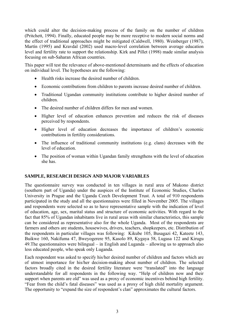which could alter the decision-making process of the family on the number of children (Pritchett, 1994). Finally, educated people may be more receptive to modern social norms and the effect of traditional approaches might be mitigated (Caldwell, 1980). Weinberger (1987), Martín (1995) and Kravdal (2002) used macro-level correlation between average education level and fertility rate to support the relationship. Kirk and Pillet (1998) made similar analysis focusing on sub-Saharan African countries.

This paper will test the relevance of above-mentioned determinants and the effects of education on individual level. The hypotheses are the following:

- Health risks increase the desired number of children.
- Economic contributions from children to parents increase desired number of children.
- Traditional Ugandan community institutions contribute to higher desired number of children.
- The desired number of children differs for men and women.
- Higher level of education enhances prevention and reduces the risk of diseases perceived by respondents.
- Higher level of education decreases the importance of children's economic contributions in fertility considerations.
- The influence of traditional community institutions (e.g. clans) decreases with the level of education.
- The position of woman within Ugandan family strengthens with the level of education she has.

## **SAMPLE, RESEARCH DESIGN AND MAJOR VARIABLES**

The questionnaire survey was conducted in ten villages in rural area of Mukono district (southern part of Uganda) under the auspices of the Institute of Economic Studies, Charles University in Prague and the Uganda Czech Development Trust. A total of 910 respondents participated in the study and all the questionnaires were filled in November 2005. The villages and respondents were selected so as to have representative sample with the indication of level of education, age, sex, marital status and structure of economic activities. With regard to the fact that 85% of Ugandan inhabitants live in rural areas with similar characteristics, this sample can be considered as representative also for the whole Uganda. Most of the respondents are farmers and others are students, housewives, drivers, teachers, shopkeepers, etc. Distribution of the respondents in particular villages was following: Kikube 105, Busagazi 42, Kateete 143, Buikwe 160, Nakifuma 47, Bweyogerere 95, Kasolo 89, Kygaya 58, Lugasa 122 and Kirugu 49.The questionnaires were bilingual – in English and Luganda – allowing us to approach also less educated people, who speak only Luganda.

Each respondent was asked to specify his/her desired number of children and factors which are of utmost importance for his/her decision-making about number of children. The selected factors broadly cited in the desired fertility literature were "translated" into the language understandable for all respondents in the following way. "Help of children now and their support when parents are old" was used as a proxy of economic incentives behind high fertility. "Fear from the child's fatal diseases" was used as a proxy of high child mortality argument. The opportunity to "expand the size of respondent's clan" approximates the cultural factors.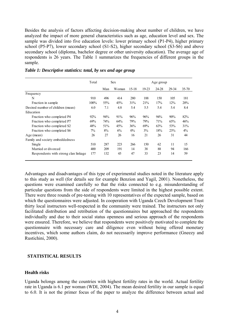Besides the analysis of factors affecting decision-making about number of children, we have analyzed the impact of more general characteristics such as age, education level and sex. The sample was divided into five education levels: lower primary school (P1-P4), higher primary school (P5-P7), lower secondary school (S1-S2), higher secondary school (S3-S6) and above secondary school (diploma, bachelor degree or other university education). The average age of respondents is 26 years. The Table 1 summarizes the frequencies of different groups in the sample.

|                                      | Total | <b>Sex</b> |       | Age group |       |       |       |           |
|--------------------------------------|-------|------------|-------|-----------|-------|-------|-------|-----------|
|                                      |       | Man        | Woman | $15-18$   | 19-23 | 24-28 | 29-34 | $35 - 70$ |
| Frequency                            |       |            |       |           |       |       |       |           |
| N                                    | 910   | 496        | 414   | 280       | 188   | 150   | 105   | 181       |
| Fraction in sample                   | 100%  | 55%        | 45%   | 31%       | 21%   | 17%   | 12%   | 20%       |
| Desired number of children (mean)    | 6.0   | 7.1        | 4.8   | 5.4       | 5.5   | 5.4   | 5.4   | 8.4       |
| Education                            |       |            |       |           |       |       |       |           |
| Fraction who completed P4            | 92%   | 94%        | 91%   | 96%       | 96%   | 94%   | 90%   | 82%       |
| Fraction who completed P7            | 69%   | 74%        | 64%   | 79%       | 79%   | 71%   | 65%   | 46%       |
| Fraction who completed S2            | 48%   | 51%        | 45%   | 36%       | 69%   | 63%   | 53%   | 31%       |
| Fraction who completed S6            | $7\%$ | 8%         | 6%    | $0\%$     | 3%    | 18%   | 23%   | $4\%$     |
| Age (mean)                           | 26    | 27         | 26    | 16        | 21    | 26    | 31    | 44        |
| Family and society embeddedness      |       |            |       |           |       |       |       |           |
| Single                               | 510   | 287        | 223   | 266       | 150   | 62    | 11    | 15        |
| Married or divorced                  | 400   | 209        | 191   | 14        | 38    | 88    | 94    | 166       |
| Respondents with strong clan linkage | 177   | 132        | 45    | 47        | 33    | 23    | 14    | 59        |

*Table 1: Descriptive statistics: total, by sex and age group* 

Advantages and disadvantages of this type of experimental studies noted in the literature apply to this study as well (for details see for example Benzion and Yagil, 2001). Nonetheless, the questions were examined carefully so that the risks connected to e.g. misunderstanding of particular questions from the side of respondents were limited in the highest possible extent. There were three rounds of pre-testing with 10 representatives of the expected sample, based on which the questionnaires were adjusted. In cooperation with Uganda Czech Development Trust thirty local instructors well-respected in the community were trained. The instructors not only facilitated distribution and retribution of the questionnaires but approached the respondents individually and due to their social status openness and serious approach of the respondents were ensured. Therefore, we believe that respondents were positively motivated to complete the questionnaire with necessary care and diligence even without being offered monetary incentives, which some authors claim, do not necessarily improve performance (Gneezy and Rustichini, 2000).

#### **STATISTICAL RESULTS**

#### **Health risks**

Uganda belongs among the countries with highest fertility rates in the world. Actual fertility rate in Uganda is 6.1 per woman (WDI, 2004). The mean desired fertility in our sample is equal to 6.0. It is not the primer focus of the paper to analyze the difference between actual and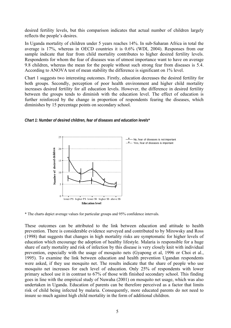desired fertility levels, but this comparison indicates that actual number of children largely reflects the people's desires.

In Uganda mortality of children under 5 years reaches 14%. In sub-Saharan Africa in total the average is 17%, whereas in OECD countries it is 0.6% (WDI, 2004). Responses from our sample indicate that fear from child mortality contributes to higher desired fertility levels. Respondents for whom the fear of diseases was of utmost importance want to have on average 9.8 children, whereas the mean for the people without such strong fear from diseases is 5.4. According to ANOVA test of mean stability the difference is significant on 1% level.

Chart 1 suggests two interesting outcomes. Firstly, education decreases the desired fertility for both groups. Secondly, perception of poor health environment and higher child mortality increases desired fertility for all education levels. However, the difference in desired fertility between the groups tends to diminish with the education level. The effect of education is further reinforced by the change in proportion of respondents fearing the diseases, which diminishes by 15 percentage points on secondary school.

*Chart 1: Number of desired children, fear of diseases and education levels\** 



\* The charts depict average values for particular groups and 95% confidence intervals.

These outcomes can be attributed to the link between education and attitude to health prevention. There is considerable evidence surveyed and contributed to by Mirowsky and Ross (1998) that suggests that changes in high mortality risks are symptomatic for higher levels of education which encourage the adoption of healthy lifestyle. Malaria is responsible for a huge share of early mortality and risk of infection by this disease is very closely knit with individual prevention, especially with the usage of mosquito nets (Gyapong et al, 1996 or Choi et al., 1995). To examine the link between education and health prevention Ugandan respondents were asked, if they use mosquito net. The results indicate that the share of people who use mosquito net increases for each level of education. Only 25% of respondents with lower primary school use it in contrast to 67% of those with finished secondary school. This finding goes in line with the empirical study of Nuwaha (2001) on mosquito net usage, which was also undertaken in Uganda. Education of parents can be therefore perceived as a factor that limits risk of child being infected by malaria. Consequently, more educated parents do not need to insure so much against high child mortality in the form of additional children.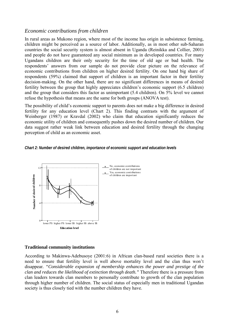## *Economic contributions from children*

In rural areas as Mukono region, where most of the income has origin in subsistence farming, children might be perceived as a source of labor. Additionally, as in most other sub-Saharan countries the social security system is almost absent in Uganda (Reinikka and Collier, 2001) and people do not have guaranteed any social minimum as in developed countries. For many Ugandans children are their only security for the time of old age or bad health. The respondents' answers from our sample do not provide clear picture on the relevance of economic contributions from children on higher desired fertility. On one hand big share of respondents (59%) claimed that support of children is an important factor in their fertility decision-making. On the other hand, there are no significant differences in means of desired fertility between the group that highly appreciates children's economic support (6.5 children) and the group that considers this factor as unimportant (5.4 children). On 5% level we cannot refuse the hypothesis that means are the same for both groups (ANOVA test).

The possibility of child's economic support to parents does not make a big difference in desired fertility for any education level (Chart 2). This finding contrasts with the argument of Weinberger (1987) or Kravdal (2002) who claim that education significantly reduces the economic utility of children and consequently pushes down the desired number of children. Our data suggest rather weak link between education and desired fertility through the changing perception of child as an economic asset.

*Chart 2: Number of desired children, importance of economic support and education levels* 



#### **Traditional community institutions**

According to Makinwa-Adebusoye (2001:6) in African clan-based rural societies there is a need to ensure that fertility level is well above mortality level and the clan thus won't disappear*. "Considerable expansion of membership enhances the power and prestige of the clan and reduces the likelihood of extinction through death."* Therefore there is a pressure from clan leaders towards clan members to personally contribute to growth of the clan population through higher number of children. The social status of especially men in traditional Ugandan society is thus closely tied with the number children they have.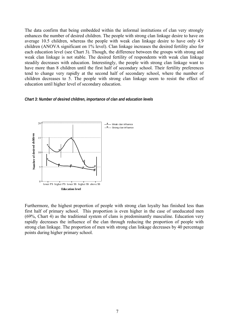The data confirm that being embedded within the informal institutions of clan very strongly enhances the number of desired children. The people with strong clan linkage desire to have on average 10.5 children, whereas the people with weak clan linkage desire to have only 4.9 children (ANOVA significant on 1% level). Clan linkage increases the desired fertility also for each education level (see Chart 3). Though, the difference between the groups with strong and weak clan linkage is not stable. The desired fertility of respondents with weak clan linkage steadily decreases with education. Interestingly, the people with strong clan linkage want to have more than 8 children until the first half of secondary school. Their fertility preferences tend to change very rapidly at the second half of secondary school, where the number of children decreases to 5. The people with strong clan linkage seem to resist the effect of education until higher level of secondary education.

#### *Chart 3: Number of desired children, importance of clan and education levels*



Furthermore, the highest proportion of people with strong clan loyalty has finished less than first half of primary school. This proportion is even higher in the case of uneducated men (69%, Chart 4) as the traditional system of clans is predominantly masculine. Education very rapidly decreases the influence of the clan through reducing the proportion of people with strong clan linkage. The proportion of men with strong clan linkage decreases by 40 percentage points during higher primary school.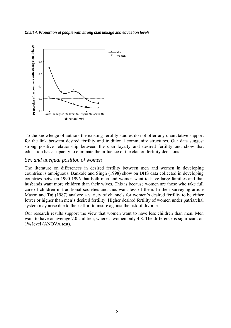#### *Chart 4: Proportion of people with strong clan linkage and education levels*



To the knowledge of authors the existing fertility studies do not offer any quantitative support for the link between desired fertility and traditional community structures. Our data suggest strong positive relationship between the clan loyalty and desired fertility and show that education has a capacity to eliminate the influence of the clan on fertility decisions.

## *Sex and unequal position of women*

The literature on differences in desired fertility between men and women in developing countries is ambiguous. Bankole and Singh (1998) show on DHS data collected in developing countries between 1990-1996 that both men and women want to have large families and that husbands want more children than their wives. This is because women are those who take full care of children in traditional societies and thus want less of them. In their surveying article Mason and Taj (1987) analyze a variety of channels for women's desired fertility to be either lower or higher than men's desired fertility. Higher desired fertility of women under patriarchal system may arise due to their effort to insure against the risk of divorce.

Our research results support the view that women want to have less children than men. Men want to have on average 7.0 children, whereas women only 4.8. The difference is significant on 1% level (ANOVA test).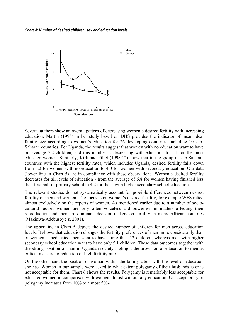

Several authors show an overall pattern of decreasing women's desired fertility with increasing education. Martín (1995) in her study based on DHS provides the indicator of mean ideal family size according to women's education for 26 developing countries, including 10 sub-Saharan countries. For Uganda, the results suggest that women with no education want to have on average 7.2 children, and this number is decreasing with education to 5.1 for the most educated women. Similarly, Kirk and Pillet (1998:12) show that in the group of sub-Saharan countries with the highest fertility rates, which includes Uganda, desired fertility falls down from 6.2 for women with no education to 4.0 for women with secondary education. Our data (lower line in Chart 5) are in compliance with these observations. Women's desired fertility decreases for all levels of education - from the average of 6.8 for women having finished less than first half of primary school to 4.2 for those with higher secondary school education.

The relevant studies do not systematically account for possible differences between desired fertility of men and women. The focus is on women's desired fertility, for example WFS relied almost exclusively on the reports of women. As mentioned earlier due to a number of sociocultural factors women are very often voiceless and powerless in matters affecting their reproduction and men are dominant decision-makers on fertility in many African countries (Makinwa-Adebusoye's, 2001).

The upper line in Chart 5 depicts the desired number of children for men across education levels. It shows that education changes the fertility preferences of men more considerably than of women. Uneducated men want to have more than 12 children, whereas men with higher secondary school education want to have only 5.1 children. These data outcomes together with the strong position of man in Ugandan society highlight the provision of education to men as critical measure to reduction of high fertility rate.

On the other hand the position of woman within the family alters with the level of education she has. Women in our sample were asked to what extent polygamy of their husbands is or is not acceptable for them. Chart 6 shows the results. Polygamy is remarkably less acceptable for educated women in comparison with women almost without any education. Unacceptability of polygamy increases from 10% to almost 50%.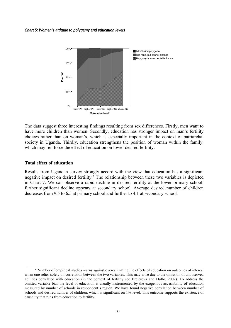

The data suggest three interesting findings resulting from sex differences. Firstly, men want to have more children than women. Secondly, education has stronger impact on man's fertility choices rather than on woman's, which is especially important in the context of patriarchal society in Uganda. Thirdly, education strengthens the position of woman within the family, which may reinforce the effect of education on lower desired fertility.

#### **Total effect of education**

Results from Ugandan survey strongly accord with the view that education has a significant negative impact on desired fertility.<sup>[3](#page-13-0)</sup> The relationship between these two variables is depicted in Chart 7. We can observe a rapid decline in desired fertility at the lower primary school; further significant decline appears at secondary school. Average desired number of children decreases from 9.5 to 6.5 at primary school and further to 4.1 at secondary school.

<span id="page-13-0"></span> $\frac{1}{3}$ <sup>3</sup> Number of empirical studies warns against overestimating the effects of education on outcomes of interest when one relies solely on correlation between the two variables. This may arise due to the omission of unobserved abilities correlated with education (in the context of fertility see Breierova and Duflo, 2002). To address the omitted variable bias the level of education is usually instrumented by the exogenous accessibility of education measured by number of schools in respondent's region. We have found negative correlation between number of schools and desired number of children, which is significant on 1% level. This outcome supports the existence of causality that runs from education to fertility.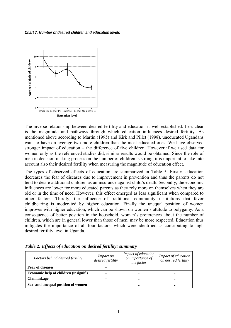*Chart 7: Number of desired children and education levels* 



The inverse relationship between desired fertility and education is well established. Less clear is the magnitude and pathways through which education influences desired fertility. As mentioned above according to Martín (1995) and Kirk and Pillet (1998), uneducated Ugandans want to have on average two more children than the most educated ones. We have observed stronger impact of education – the difference of five children. However if we used data for women only as the referenced studies did, similar results would be obtained. Since the role of men in decision-making process on the number of children is strong, it is important to take into account also their desired fertility when measuring the magnitude of education effect.

The types of observed effects of education are summarized in Table 5. Firstly, education decreases the fear of diseases due to improvement in prevention and thus the parents do not tend to desire additional children as an insurance against child's death. Secondly, the economic influences are lower for more educated parents as they rely more on themselves when they are old or in the time of need. However, this effect emerged as less significant when compared to other factors. Thirdly, the influence of traditional community institutions that favor childbearing is moderated by higher education. Finally the unequal position of women improves with higher education, which can be shown on women's attitude to polygamy. As a consequence of better position in the household, woman's preferences about the number of children, which are in general lower than those of men, may be more respected. Education thus mitigates the importance of all four factors, which were identified as contributing to high desired fertility level in Uganda.

| Factors behind desired fertility      | <i>Impact on</i><br>desired fertility | Impact of education<br>on importance of<br>the factor | Impact of education<br>on desired fertility |
|---------------------------------------|---------------------------------------|-------------------------------------------------------|---------------------------------------------|
| <b>Fear of diseases</b>               |                                       |                                                       |                                             |
| Economic help of children (insignif.) |                                       |                                                       |                                             |
| <b>Clan linkage</b>                   |                                       |                                                       | $\overline{\phantom{0}}$                    |
| Sex and unequal position of women     |                                       |                                                       |                                             |

*Table 2: Effects of education on desired fertility: summary*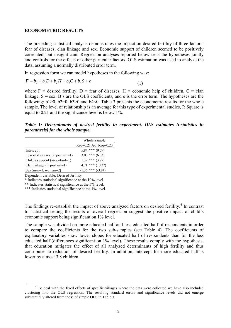#### **ECONOMETRIC RESULTS**

The preceding statistical analysis demonstrates the impact on desired fertility of three factors: fear of diseases, clan linkage and sex. Economic support of children seemed to be positively correlated, but insignificant. Regression analyses reported below tests the hypotheses jointly and controls for the effects of other particular factors. OLS estimation was used to analyze the data, assuming a normally distributed error term.

In regression form we can model hypotheses in the following way:

$$
F = b_0 + b_1 D + b_2 H + b_3 C + b_4 S + e
$$
\n(1)

where  $F =$  desired fertility,  $D =$  fear of diseases,  $H =$  economic help of children,  $C =$  clan linkage,  $S =$ sex. B's are the OLS coefficients, and e is the error term. The hypotheses are the following:  $b1>0$ ,  $b2=0$ ,  $b3>0$  and  $b4<0$ . Table 3 presents the econometric results for the whole sample. The level of relationship is an average for this type of experimental studies, R Square is equal to 0.21 and the significance level is below 1%.

*Table 1: Determinants of desired fertility in experiment. OLS estimates (t-statistics in parenthesis) for the whole sample.* 

|                                | Whole sample                                |
|--------------------------------|---------------------------------------------|
|                                | $\text{Rs}\$ q=0.21 Adj $\text{Rs}\$ q=0.20 |
| Intercept                      | $5.84$ *** (9.59)                           |
| Fear of diseases (important=1) | $3.03$ *** $(6.03)$                         |
| Child's support (important=1)  | $1.32$ *** $(3.77)$                         |
| Clan linkage (important=1)     | $4.71$ *** (10.37)                          |
| $Sex (man=1, woman=2)$         | $-1.36$ *** (-3.84)                         |

Dependent variable: Desired fertility

\* Indicates statistical significance at the 10% level.

\*\* Indicates statistical significance at the 5% level.

\*\*\* Indicates statistical significance at the 1% level.

The findings re-establish the impact of above analyzed factors on desired fertility.<sup>[4](#page-15-0)</sup> In contrast to statistical testing the results of overall regression suggest the positive impact of child's economic support being significant on 1% level.

The sample was divided on more educated half and less educated half of respondents in order to compare the coefficients for the two sub-samples (see Table 4). The coefficients of explanatory variables show lower slopes for educated half of respondents than for the less educated half (differences significant on 1% level). These results comply with the hypothesis, that education mitigates the effect of all analyzed determinants of high fertility and thus contributes to reduction of desired fertility. In addition, intercept for more educated half is lower by almost 3.8 children.

<span id="page-15-0"></span> $\frac{1}{4}$ <sup>4</sup> To deal with the fixed effects of specific villages where the data were collected we have also included clustering into the OLS regression. The resulting standard errors and significance levels did not emerge substantially altered from those of simple OLS in Table 3.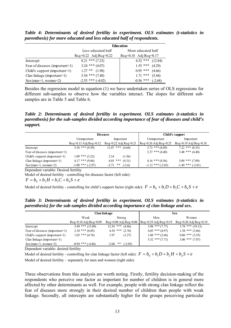*Table 4: Determinants of desired fertility in experiment. OLS estimates (t-statistics in parenthesis) for more educated and less educated half of respondents.* 

|                                | <b>Education</b>                            |                                             |  |  |  |
|--------------------------------|---------------------------------------------|---------------------------------------------|--|--|--|
|                                | Less educated half<br>More educated half    |                                             |  |  |  |
|                                | $\text{Rs}\,q=0.22$ Adj $\text{Rs}\,q=0.22$ | $\text{Rs}\,q=0.18$ Adj $\text{Rs}\,q=0.17$ |  |  |  |
| Intercept                      | $8.21$ *** (7.23)                           | $4.52$ ***<br>(12.84)                       |  |  |  |
| Fear of diseases (important=1) | $3.24$ *** $(4.07)$                         | $1.55$ ***<br>(4.29)                        |  |  |  |
| Child's support (important=1)  | $1.27$ ** $(1.98)$                          | $0.95$ ***<br>(4.66)                        |  |  |  |
| Clan linkage (important=1)     | $5.54$ *** $(7.48)$                         | $1.71$ ***<br>(5.44)                        |  |  |  |
| $Sex (man=1, woman=2)$         | $-2.55$ *** $(-4.02)$                       | $-0.56$ ***<br>$(-2.68)$                    |  |  |  |

Besides the regression model in equation (1) we have undertaken series of OLS regressions for different sub-samples to observe how the variables interact. The slopes for different subsamples are in Table 5 and Table 6.

*Table 2: Determinants of desired fertility in experiment. OLS estimates (t-statistics in parenthesis) for the sub-samples divided according importance of fear of diseases and child's support.* 

|                                |                                            | <b>Diseases</b>                                    | Child's support                                             |                                            |  |
|--------------------------------|--------------------------------------------|----------------------------------------------------|-------------------------------------------------------------|--------------------------------------------|--|
|                                | Unimportant                                | Important                                          | Unimportant                                                 | Important                                  |  |
|                                | $\text{Rsq=0.13}\text{Adj}\text{Rsq=0.12}$ | $\text{Rs}\,q=0.22\,\text{Adj}\,\text{Rs}\,q=0.21$ | $\text{Rs}\,\text{q}$ =0.26 Adj $\text{Rs}\,\text{q}$ =0.25 | $\text{Rsq=0.19}\text{Adj}\text{Rsq=0.18}$ |  |
| Intercept                      | $5.54$ *** $(9.59)$                        | $11.07$ *** $(4.64)$                               | $5.73$ *** $(8.89)$                                         | $7.22$ *** $(8.53)$                        |  |
| Fear of diseases (important=1) |                                            |                                                    | $2.37$ *** $(4.40)$                                         | $3.48$ *** $(4.40)$                        |  |
| Child's support (important=1)  | $1.09$ *** $(3.22)$                        | 2.14<br>(1.56)                                     |                                                             |                                            |  |
| Clan linkage (important=1)     | $4.17$ *** $(9.04)$                        | $6.03$ *** $(4.31)$                                | $4.16$ *** $(8.56)$                                         | $5.09$ *** $(7.09)$                        |  |
| $Sex (man=1, woman=2)$         | $-1.00$ *** (-2.97)                        | $-3.71$ **<br>$(-2.6)$                             | $-1.13$ *** (-2.83)                                         | $-1.49$ *** (-2.81)                        |  |

Dependent variable: Desired fertility

Model of desired fertility - controlling for diseases factor (left side):

 $F = b_0 + b_2H + b_3C + b_4S + e$ 

Model of desired fertility - controlling for child's support factor (right side):  $F = b_0 + b_1 D + b_3 C + b_4 S + e$ 

*Table 3: Determinants of desired fertility in experiment. OLS estimates (t-statistics in parenthesis) for the sub-samples divided according importance of clan linkage and sex.* 

|                                |                                                         | Clan linkage                                     | <b>Sex</b>                                 |                                                    |  |
|--------------------------------|---------------------------------------------------------|--------------------------------------------------|--------------------------------------------|----------------------------------------------------|--|
|                                | Weak                                                    | Strong                                           | Men                                        | Women                                              |  |
|                                | $\text{Rs}\rho = 0.10 \text{ Ad}i \text{Rs}\rho = 0.09$ | $\text{Rsq}=0.08 \text{ Ad}$ j $\text{Rsq}=0.06$ | $\text{Rsq=0.19}\text{Adj}\text{Rsq=0.19}$ | $\text{Rs}\,q=0.20\,\text{Adj}\,\text{Rs}\,q=0.19$ |  |
| Intercept                      | $5.49$ *** $(15.09)$                                    | $12.54$ ***<br>(4.86)                            | $3.98$ *** (7.77)                          | $3.78$ *** (19.13)                                 |  |
| Fear of diseases (important=1) | $2.10$ *** $(6.05)$                                     | $4.54$ ***<br>(2.76)                             | $4.05$ *** $(4.97)$                        | $1.38$ *** $(3.66)$                                |  |
| Child's support (important=1)  | $1.03$ *** $(4.76)$                                     | 1.97<br>(1.27)                                   | $1.60$ *** $(2.66)$                        | $0.86$ *** $(3.55)$                                |  |
| Clan linkage (important=1)     |                                                         |                                                  | $5.32$ *** $(7.71)$                        | $3.06$ *** $(7.87)$                                |  |
| $Sex (man=1, woman=2)$         | $-0.94$ *** $(-4.46)$                                   | **<br>$(-2.05)$<br>$-3.60$                       |                                            |                                                    |  |

Dependent variable: desired fertility

Model of desired fertility - controlling for clan linkage factor (left side):  $F = b_0 + b_1 D + b_2 H + b_4 S + e$ Model of desired fertility – separately for men and women (right side):

Three observations from this analysis are worth noting. Firstly, fertility decision-making of the respondents who perceive one factor as important for number of children is in general more affected by other determinants as well. For example, people with strong clan linkage reflect the fear of diseases more strongly in their desired number of children than people with weak linkage. Secondly, all intercepts are substantially higher for the groups perceiving particular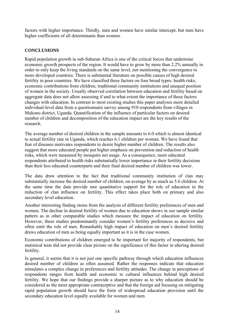factors with higher importance. Thirdly, men and women have similar intercept, but men have higher coefficients of all determinants than women.

## **CONCLUSIONS**

Rapid population growth in sub-Saharan Africa is one of the critical forces that undermine economic growth prospects of the region. It would have to grow by more than 2.2% annually in order to only keep the living standards on the same level, not mentioning the convergence to more developed countries. There is substantial literature on possible causes of high desired fertility in poor countries. We have classified these factors on four broad types: health risks, economic contributions from children, traditional community institutions and unequal position of women in the society. Usually observed correlation between education and fertility based on aggregate data does not allow assessing if and to what extent the importance of these factors changes with education. In contrast to most existing studies this paper analyzes more detailed individual-level data from a questionnaire survey among 910 respondents from villages in Mukono district, Uganda. Quantification of the influence of particular factors on desired number of children and decomposition of the education impact are the key results of the research.

The average number of desired children in the sample amounts to 6.0 which is almost identical to actual fertility rate in Uganda, which reaches 6.1 children per woman. We have found that fear of diseases motivates respondents to desire higher number of children. The results also suggest that more educated people put higher emphasis on prevention and reduction of health risks, which were measured by mosquito net usage. As a consequence, more educated respondents attributed to health risks substantially lower importance in their fertility decisions than their less educated counterparts and their final desired number of children was lower.

The data draw attention to the fact that traditional community institution of clan may substantially increase the desired number of children, on average by as much as 5.6 children. At the same time the data provide rare quantitative support for the role of education in the reduction of clan influence on fertility. This effect takes place both on primary and also secondary level education.

Another interesting finding stems from the analysis of different fertility preferences of men and women. The decline in desired fertility of women due to education shows in our sample similar pattern as in other comparable studies which measure the impact of education on fertility. However, these studies predominantly consider women's fertility preferences as decisive and often omit the role of men. Remarkably high impact of education on men's desired fertility draws education of men as being equally important as it is in the case women.

Economic contributions of children emerged to be important for majority of respondents, but statistical tests did not provide clear picture on the significance of this factor in altering desired fertility.

In general, it seems that it is not just one specific pathway through which education influences desired number of children as often assumed. Rather the responses indicate that education stimulates a complex change in preferences and fertility attitudes. The change in perceptions of respondents ranges from health and economic to cultural influences behind high desired fertility. We hope that our findings provide a sharper picture as to why education should be considered as the most appropriate contraceptive and that the foreign aid focusing on mitigating rapid population growth should have the form of widespread education provision until the secondary education level equally available for women and men.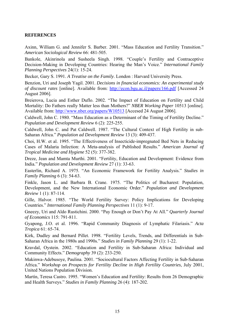#### **REFERENCES**

Axinn, William G. and Jennifer S. Barber. 2001. "Mass Education and Fertility Transition." *American Sociological Review* 66: 481-505.

Bankole, Akinrinola and Susheela Singh. 1998. "Couple's Fertility and Contraceptive Decision-Making in Developing Countries: Hearing the Man's Voice." *International Family Planning Perspectives* 24(1): 15-24.

Becker, Gary S. 1991. *A Treatise on the Family*. London : Harvard University Press.

Benzion, Uri and Joseph Yagil. 2001. *Decisions in financial economics: An experimental study of discount rates* [online]. Available from: <http://econ.bgu.ac.il/papers/166.pdf> [Accessed 24 August 2006].

Breierova, Lucia and Esther Duflo. 2002. "The Impact of Education on Fertility and Child Mortality: Do Fathers really Matter less than Mothers?" *NBER Working Paper* 10513 [online]. Available from: [http://www.nber.org/papers/W10513](http://email.seznam.cz/redir?http://www.nber.org/papers/W10513) [Accesed 24 August 2006].

Caldwell, John C. 1980. "Mass Education as a Determinant of the Timing of Fertility Decline." *Population and Development Review* 6 (2): 225-255.

Caldwell, John C. and Pat Caldwell. 1987. "The Cultural Context of High Fertility in sub-Saharan Africa." *Population ad Development Review* 13 (3): 409-437.

Choi, H.W. et al. 1995. "The Effectiveness of Insecticide-impregnated Bed Nets in Reducing Cases of Malaria Infection: A Meta-analysis of Published Results." *American Journal of Tropical Medicine and Hygiene* 52 (5): 377-382.

Dreze, Jean and Mamta Murthi. 2001. "Fertility, Education and Development: Evidence from India." *Population and Development Review* 27 (1): 33-63.

Easterlin, Richard A. 1975. "An Economic Framework for Fertility Analysis." *Studies in Family Planning* 6 (3): 54-63.

Finkle, Jason L. and Barbara B. Crane. 1975. "The Politics of Bucharest: Population, Development, and the New International Economic Order." *Population and Development Review* 1 (1): 87-114.

Gille, Halvor. 1985. "The World Fertility Survey: Policy Implications for Developing Countries." *International Family Planning Perspectives* 11 (1): 9-17.

Gneezy, Uri and Aldo Rustichini. 2000. "Pay Enough or Don't Pay At All." *Quarterly Journal of Economics* 115: 791-811.

Gyapong, J.O. et al. 1996. "Rapid Community Diagnosis of Lymphatic Filariasis." *Acta Tropica* 61: 65-74.

Kirk, Dudley and Bernard Pillet. 1998. "Fertility Levels, Trends, and Differentials in Sub-Saharan Africa in the 1980s and 1990s." *Studies in Family Planning* 29 (1): 1-22.

Kravdal, Oystein. 2002. "Education and Fertility in Sub-Saharan Africa: Individual and Community Effects." *Demography* 39 (2): 233-250.

Makinwa-Adebusoye, Paulina. 2001. "Sociocultural Factors Affecting Fertility in Sub-Saharan Africa." *Workshop on Prospects for Fertility Decline in High Fertility Countries*, July 2001, United Nations Population Division.

Martín, Teresa Castro. 1995. "Women's Education and Fertility: Results from 26 Demographic and Health Surveys." *Studies in Family Planning* 26 (4): 187-202.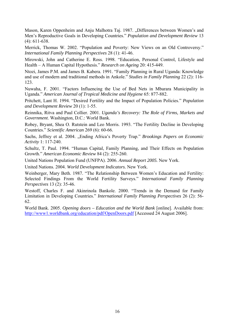Mason, Karen Oppenheim and Anju Malhotra Taj. 1987. "Differences between Women's and Men's Reproductive Goals in Developing Countries." *Population and Development Review* 13 (4): 611-638.

Merrick, Thomas W. 2002. "Population and Poverty: New Views on an Old Controversy." *International Family Planning Perspectives* 28 (1): 41-46.

Mirowski, John and Catherine E. Ross. 1998. "Education, Personal Control, Lifestyle and Health – A Human Capital Hypothesis." *Research on Ageing* 20: 415-449.

Ntozi, James P.M. and James B. Kabera. 1991. "Family Planning in Rural Uganda: Knowledge and use of modern and traditional methods in Ankole." *Studies in Family Planning* 22 (2): 116- 123.

Nuwaha, F. 2001. "Factors Influencing the Use of Bed Nets in Mbarara Municipality in Uganda." *American Journal of Tropical Medicine and Hygiene* 65: 877-882.

Pritchett, Lant H. 1994. "Desired Fertility and the Impact of Population Policies." *Population and Development Review* 20 (1): 1-55.

Reinnika, Ritva and Paul Collier. 2001. *Uganda's Recovery: The Role of Firms, Markets and Government*. Washington, D.C.: World Bank.

Robey, Bryant, Shea O. Rutstein and Leo Morris. 1993. "The Fertility Decline in Developing Countries." *Scientific American* 269 (6): 60-66.

Sachs, Jeffrey et al. 2004. "Ending Africa's Poverty Trap." *Brookings Papers on Economic Activity* 1: 117-240.

Schultz, T. Paul. 1994. "Human Capital, Family Planning, and Their Effects on Population Growth." *American Economic Review* 84 (2): 255-260.

United Nations Population Fund (UNFPA). 2006. *Annual Report 2005.* New York.

United Nations. 2004. *World Development Indicators.* New York.

Weinberger, Mary Beth. 1987. "The Relationship Between Women's Education and Fertility: Selected Findings From the World Fertility Surveys." *International Family Planning Perspectives* 13 (2): 35-46.

Westoff, Charles F. and Akinrinola Bankole. 2000. "Trends in the Demand for Family Limitation in Developing Countries." *International Family Planning Perspectives* 26 (2): 56- 62.

World Bank. 2005. *Opening doors – Education and the World Bank* [online]. Available from: <http://www1.worldbank.org/education/pdf/OpenDoors.pdf>[Accessed 24 August 2006].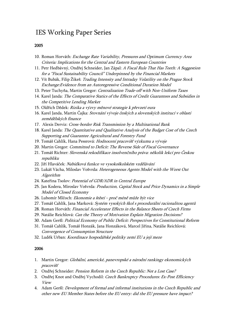## IES Working Paper Series

#### 2005

- 10. Roman Horváth: Exchange Rate Variability, Pressures and Optimum Currency Area Criteria: Implications for the Central and Eastern European Countries
- 11. Petr Hedbávný, Ondřej Schneider, Jan Zápal: A Fiscal Rule That Has Teeth: A Suggestion for a "Fiscal Sustainability Council" Underpinned by the Financial Markets
- 12. Vít Bubák, Filip Žikeš: Trading Intensity and Intraday Volatility on the Prague Stock Exchange:Evidence from an Autoregressive Conditional Duration Model
- 13. Peter Tuchyňa, Martin Gregor: Centralization Trade-off with Non-Uniform Taxes
- 14. Karel Janda: The Comparative Statics of the Effects of Credit Guarantees and Subsidies in the Competitive Lending Market
- 15. Oldřich Dědek: Rizika a výzvy měnové strategie k převzetí eura
- 16. Karel Janda, Martin Čajka: Srovnání vývoje českých a slovenských institucí v oblasti zemědělských finance
- 17. Alexis Derviz: Cross-border Risk Transmission by a Multinational Bank
- 18. Karel Janda: The Quantitative and Qualitative Analysis of the Budget Cost of the Czech Supporting and Guarantee Agricultural and Forestry Fund
- 19. Tomáš Cahlík, Hana Pessrová: Hodnocení pracovišť výzkumu a vývoje
- 20. Martin Gregor: Committed to Deficit: The Reverse Side of Fiscal Governance
- 21. Tomáš Richter: Slovenská rekodifikace insolvenčního práva: několik lekcí pro Českou republiku
- 22. Jiří Hlaváček: Nabídková funkce ve vysokoškolském vzdělávání
- 23. Lukáš Vácha, Miloslav Vošvrda: Heterogeneous Agents Model with the Worst Out Algorithm
- 24. Kateřina Tsolov: Potential of GDR/ADR in Central Europe
- 25. Jan Kodera, Miroslav Vošvrda: Production, Capital Stock and Price Dynamics in a Simple Model of Closed Economy
- 26. Lubomír Mlčoch: Ekonomie a štěstí proč méně může být vice
- 27. Tomáš Cahlík, Jana Marková: Systém vysokých škol s procedurální racionalitou agentů
- 28. Roman Horváth: Financial Accelerator Effects in the Balance Sheets of Czech Firms
- 29. Natálie Reichlová: Can the Theory of Motivation Explain Migration Decisions?
- 30. Adam Geršl: Political Economy of Public Deficit: Perspectives for Constitutional Reform
- 31. Tomáš Cahlík, Tomáš Honzák, Jana Honzáková, Marcel Jiřina, Natálie Reichlová: Convergence of Consumption Structure
- 32. Luděk Urban: Koordinace hospodářské politiky zemí EU a její meze

#### 2006

- 1. Martin Gregor: Globální, americké, panevropské a národní rankingy ekonomických pracovišť
- 2. Ondřej Schneider: Pension Reform in the Czech Republic: Not a Lost Case?
- 3. Ondřej Knot and Ondřej Vychodil: Czech Bankruptcy Procedures: Ex-Post Efficiency View
- 4. Adam Geršl: Development of formal and informal institutions in the Czech Republic and other new EU Member States before the EU entry: did the EU pressure have impact?